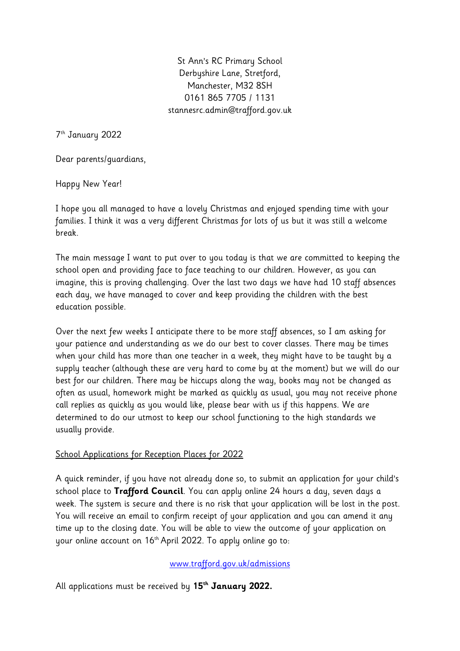St Ann's RC Primary School Derbyshire Lane, Stretford, Manchester, M32 8SH 0161 865 7705 / 1131 stannesrc.admin@trafford.gov.uk

7 th January 2022

Dear parents/guardians,

Happy New Year!

I hope you all managed to have a lovely Christmas and enjoyed spending time with your families. I think it was a very different Christmas for lots of us but it was still a welcome break.

The main message I want to put over to you today is that we are committed to keeping the school open and providing face to face teaching to our children. However, as you can imagine, this is proving challenging. Over the last two days we have had 10 staff absences each day, we have managed to cover and keep providing the children with the best education possible.

Over the next few weeks I anticipate there to be more staff absences, so I am asking for your patience and understanding as we do our best to cover classes. There may be times when your child has more than one teacher in a week, they might have to be taught by a supply teacher (although these are very hard to come by at the moment) but we will do our best for our children. There may be hiccups along the way, books may not be changed as often as usual, homework might be marked as quickly as usual, you may not receive phone call replies as quickly as you would like, please bear with us if this happens. We are determined to do our utmost to keep our school functioning to the high standards we usually provide.

## School Applications for Reception Places for 2022

A quick reminder, if you have not already done so, to submit an application for your child's school place to **Trafford Council**. You can apply online 24 hours a day, seven days a week. The system is secure and there is no risk that your application will be lost in the post. You will receive an email to confirm receipt of your application and you can amend it any time up to the closing date. You will be able to view the outcome of your application on your online account on 16th April 2022. To apply online go to:

## [www.trafford.gov.uk/admissions](http://www.trafford.gov.uk/admissions)

All applications must be received by **15th January 2022.**